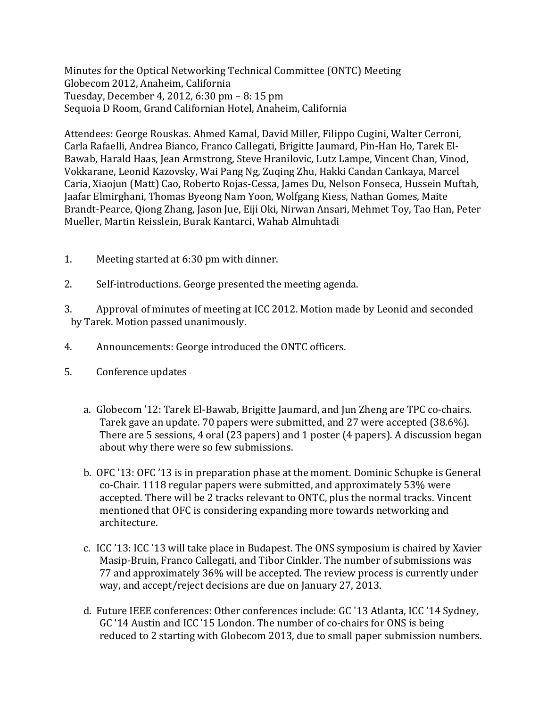Minutes for the Optical Networking Technical Committee (ONTC) Meeting Globecom 2012, Anaheim, California Tuesday, December 4, 2012, 6:30 pm – 8: 15 pm Sequoia D Room, Grand Californian Hotel, Anaheim, California

Attendees: George Rouskas. Ahmed Kamal, David Miller, Filippo Cugini, Walter Cerroni, Carla Rafaelli, Andrea Bianco, Franco Callegati, Brigitte Jaumard, Pin-Han Ho, Tarek El-Bawab, Harald Haas, Jean Armstrong, Steve Hranilovic, Lutz Lampe, Vincent Chan, Vinod, Vokkarane, Leonid Kazovsky, Wai Pang Ng, Zuqing Zhu, Hakki Candan Cankaya, Marcel Caria, Xiaojun (Matt) Cao, Roberto Rojas-Cessa, James Du, Nelson Fonseca, Hussein Muftah, Jaafar Elmirghani, Thomas Byeong Nam Yoon, Wolfgang Kiess, Nathan Gomes, Maite Brandt-Pearce, Qiong Zhang, Jason Jue, Eiji Oki, Nirwan Ansari, Mehmet Toy, Tao Han, Peter Mueller, Martin Reisslein, Burak Kantarci, Wahab Almuhtadi

- 1. Meeting started at 6:30 pm with dinner.
- 2. Self-introductions. George presented the meeting agenda.
- 3. Approval of minutes of meeting at ICC 2012. Motion made by Leonid and seconded by Tarek. Motion passed unanimously.
- 4. Announcements: George introduced the ONTC officers.
- 5. Conference updates
	- a. Globecom '12: Tarek El-Bawab, Brigitte Jaumard, and Jun Zheng are TPC co-chairs. Tarek gave an update. 70 papers were submitted, and 27 were accepted (38.6%). There are 5 sessions, 4 oral (23 papers) and 1 poster (4 papers). A discussion began about why there were so few submissions.
	- b. OFC '13: OFC '13 is in preparation phase at the moment. Dominic Schupke is General co-Chair. 1118 regular papers were submitted, and approximately 53% were accepted. There will be 2 tracks relevant to ONTC, plus the normal tracks. Vincent mentioned that OFC is considering expanding more towards networking and architecture.
	- c. ICC '13: ICC '13 will take place in Budapest. The ONS symposium is chaired by Xavier Masip-Bruin, Franco Callegati, and Tibor Cinkler. The number of submissions was 77 and approximately 36% will be accepted. The review process is currently under way, and accept/reject decisions are due on January 27, 2013.
	- d. Future IEEE conferences: Other conferences include: GC '13 Atlanta, ICC '14 Sydney, GC '14 Austin and ICC '15 London. The number of co-chairs for ONS is being reduced to 2 starting with Globecom 2013, due to small paper submission numbers.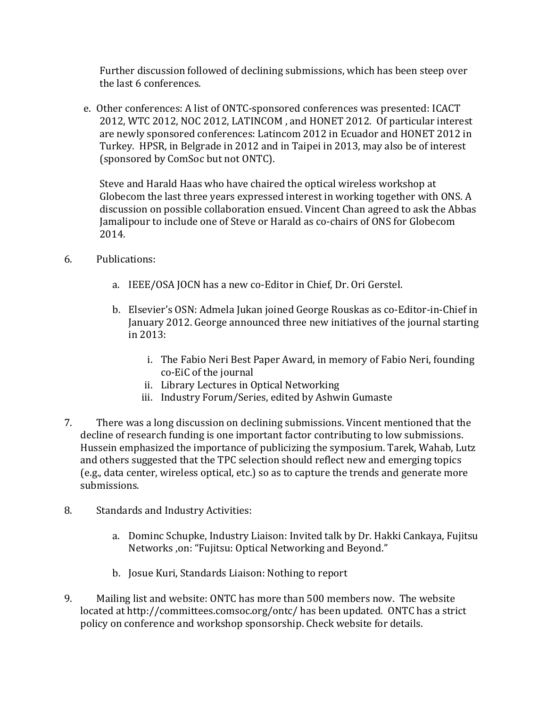Further discussion followed of declining submissions, which has been steep over the last 6 conferences.

e. Other conferences: A list of ONTC-sponsored conferences was presented: ICACT 2012, WTC 2012, NOC 2012, LATINCOM , and HONET 2012. Of particular interest are newly sponsored conferences: Latincom 2012 in Ecuador and HONET 2012 in Turkey. HPSR, in Belgrade in 2012 and in Taipei in 2013, may also be of interest (sponsored by ComSoc but not ONTC).

Steve and Harald Haas who have chaired the optical wireless workshop at Globecom the last three years expressed interest in working together with ONS. A discussion on possible collaboration ensued. Vincent Chan agreed to ask the Abbas Jamalipour to include one of Steve or Harald as co-chairs of ONS for Globecom 2014.

- 6. Publications:
	- a. IEEE/OSA JOCN has a new co-Editor in Chief, Dr. Ori Gerstel.
	- b. Elsevier's OSN: Admela Jukan joined George Rouskas as co-Editor-in-Chief in January 2012. George announced three new initiatives of the journal starting in 2013:
		- i. The Fabio Neri Best Paper Award, in memory of Fabio Neri, founding co-EiC of the journal
		- ii. Library Lectures in Optical Networking
		- iii. Industry Forum/Series, edited by Ashwin Gumaste
- 7. There was a long discussion on declining submissions. Vincent mentioned that the decline of research funding is one important factor contributing to low submissions. Hussein emphasized the importance of publicizing the symposium. Tarek, Wahab, Lutz and others suggested that the TPC selection should reflect new and emerging topics (e.g., data center, wireless optical, etc.) so as to capture the trends and generate more submissions.
- 8. Standards and Industry Activities:
	- a. Dominc Schupke, Industry Liaison: Invited talk by Dr. Hakki Cankaya, Fujitsu Networks ,on: "Fujitsu: Optical Networking and Beyond."
	- b. Josue Kuri, Standards Liaison: Nothing to report
- 9. Mailing list and website: ONTC has more than 500 members now. The website located at http://committees.comsoc.org/ontc/ has been updated. ONTC has a strict policy on conference and workshop sponsorship. Check website for details.